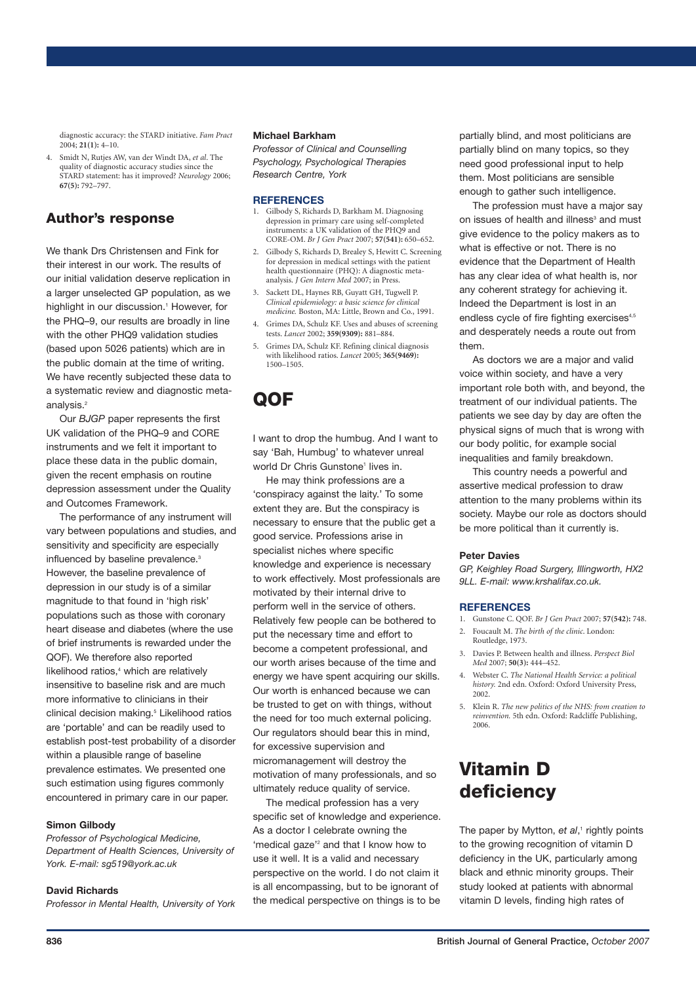diagnostic accuracy: the STARD initiative. *Fam Pract* 2004; **21(1):** 4–10.

4. Smidt N, Rutjes AW, van der Windt DA, *et al*. The quality of diagnostic accuracy studies since the STARD statement: has it improved? *Neurology* 2006; **67(5):** 792–797.

## **Author's response**

We thank Drs Christensen and Fink for their interest in our work. The results of our initial validation deserve replication in a larger unselected GP population, as we highlight in our discussion. <sup>1</sup> However, for the PHQ–9, our results are broadly in line with the other PHQ9 validation studies (based upon 5026 patients) which are in the public domain at the time of writing. We have recently subjected these data to a systematic review and diagnostic metaanalysis. 2

Our *BJGP* paper represents the first UK validation of the PHQ–9 and CORE instruments and we felt it important to place these data in the public domain, given the recent emphasis on routine depression assessment under the Quality and Outcomes Framework.

The performance of any instrument will vary between populations and studies, and sensitivity and specificity are especially influenced by baseline prevalence.<sup>3</sup> However, the baseline prevalence of depression in our study is of a similar magnitude to that found in 'high risk' populations such as those with coronary heart disease and diabetes (where the use of brief instruments is rewarded under the QOF). We therefore also reported likelihood ratios, <sup>4</sup> which are relatively insensitive to baseline risk and are much more informative to clinicians in their clinical decision making. <sup>5</sup> Likelihood ratios are 'portable' and can be readily used to establish post-test probability of a disorder within a plausible range of baseline prevalence estimates. We presented one such estimation using figures commonly encountered in primary care in our paper.

#### **Simon Gilbody**

*Professor of Psychological Medicine, Department of Health Sciences, University of York. E-mail: sg519@york.ac.uk*

### **David Richards**

*Professor in Mental Health, University of York*

### **Michael Barkham**

*Professor of Clinical and Counselling Psychology, Psychological Therapies Research Centre, York*

#### **REFERENCES**

- 1. Gilbody S, Richards D, Barkham M. Diagnosing depression in primary care using self-completed instruments: a UK validation of the PHQ9 and CORE-OM. *Br J Gen Pract* 2007; **57(541):** 650–652.
- 2. Gilbody S, Richards D, Brealey S, Hewitt C. Screening for depression in medical settings with the patient health questionnaire (PHQ): A diagnostic metaanalysis. *J Gen Intern Med* 2007; in Press.
- 3. Sackett DL, Haynes RB, Guyatt GH, Tugwell P. *Clinical epidemiology: a basic science for clinical medicine.* Boston, MA: Little, Brown and Co., 1991.
- 4. Grimes DA, Schulz KF. Uses and abuses of screening tests. *Lancet* 2002; **359(9309):** 881–884.
- 5. Grimes DA, Schulz KF. Refining clinical diagnosis with likelihood ratios. *Lancet* 2005; **365(9469):** 1500–1505.

# **QOF**

I want to drop the humbug. And I want to say 'Bah, Humbug' to whatever unreal world Dr Chris Gunstone<sup>1</sup> lives in.

He may think professions are a 'conspiracy against the laity.' To some extent they are. But the conspiracy is necessary to ensure that the public get a good service. Professions arise in specialist niches where specific knowledge and experience is necessary to work effectively. Most professionals are motivated by their internal drive to perform well in the service of others. Relatively few people can be bothered to put the necessary time and effort to become a competent professional, and our worth arises because of the time and energy we have spent acquiring our skills. Our worth is enhanced because we can be trusted to get on with things, without the need for too much external policing. Our regulators should bear this in mind, for excessive supervision and micromanagement will destroy the motivation of many professionals, and so ultimately reduce quality of service.

The medical profession has a very specific set of knowledge and experience. As a doctor I celebrate owning the 'medical gaze' <sup>2</sup> and that I know how to use it well. It is a valid and necessary perspective on the world. I do not claim it is all encompassing, but to be ignorant of the medical perspective on things is to be

partially blind, and most politicians are partially blind on many topics, so they need good professional input to help them. Most politicians are sensible enough to gather such intelligence.

The profession must have a major say on issues of health and illness<sup>3</sup> and must give evidence to the policy makers as to what is effective or not. There is no evidence that the Department of Health has any clear idea of what health is, nor any coherent strategy for achieving it. Indeed the Department is lost in an endless cycle of fire fighting exercises<sup>4,5</sup> and desperately needs a route out from them.

As doctors we are a major and valid voice within society, and have a very important role both with, and beyond, the treatment of our individual patients. The patients we see day by day are often the physical signs of much that is wrong with our body politic, for example social inequalities and family breakdown.

This country needs a powerful and assertive medical profession to draw attention to the many problems within its society. Maybe our role as doctors should be more political than it currently is.

#### **Peter Davies**

*GP, Keighley Road Surgery, Illingworth, HX2 9LL. E-mail: www.krshalifax.co.uk.*

#### **REFERENCES**

- 1. Gunstone C. QOF. *Br J Gen Pract* 2007; **57(542):** 748.
- 2. Foucault M. *The birth of the clinic*. London: Routledge, 1973.
- 3. Davies P. Between health and illness. *Perspect Biol Med* 2007; **50(3):** 444–452.
- 4. Webster C. *The National Health Service: a political history.* 2nd edn. Oxford: Oxford University Press, 2002.
- 5. Klein R. *The new politics of the NHS: from creation to reinvention.* 5th edn. Oxford: Radcliffe Publishing, 2006.

# **Vitamin D deficiency**

The paper by Mytton, *et al*, <sup>1</sup> rightly points to the growing recognition of vitamin D deficiency in the UK, particularly among black and ethnic minority groups. Their study looked at patients with abnormal vitamin D levels, finding high rates of